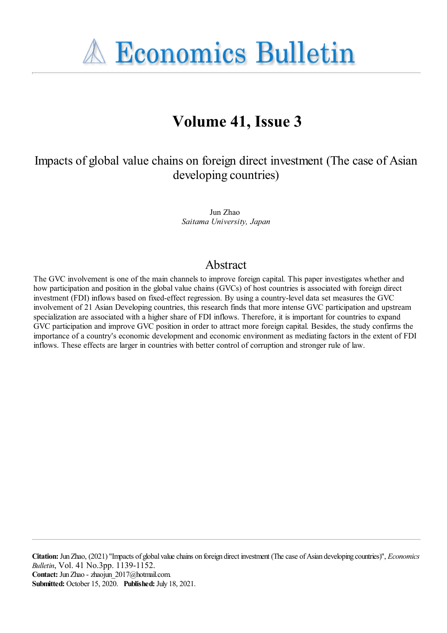**A Economics Bulletin** 

# **Volume 41, Issue 3**

Impacts of global value chains on foreign direct investment (The case of Asian developing countries)

> Jun Zhao *Saitama University, Japan*

### Abstract

The GVC involvement is one of the main channels to improve foreign capital. This paper investigates whether and how participation and position in the global value chains (GVCs) of host countries is associated with foreign direct investment (FDI) inflows based on fixed-effect regression. By using a country-level data set measures the GVC involvement of 21 Asian Developing countries, this research finds that more intense GVC participation and upstream specialization are associated with a higher share of FDI inflows. Therefore, it is important for countries to expand GVC participation and improve GVC position in order to attract more foreign capital. Besides, the study confirms the importance of a country's economic development and economic environment as mediating factors in the extent of FDI inflows. These effects are larger in countries with better control of corruption and stronger rule of law.

**Citation:** JunZhao, (2021) ''Impacts of global valuechains on foreign direct investment (Thecase ofAsian developing countries)'', *Economics Bulletin*, Vol. 41 No.3pp. 1139-1152. **Contact:** JunZhao - zhaojun\_2017@hotmail.com. **Submitted:** October 15, 2020. **Published:** July 18, 2021.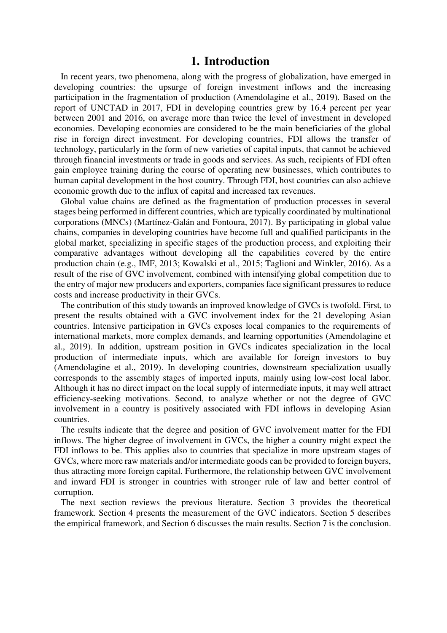#### **1. Introduction**

In recent years, two phenomena, along with the progress of globalization, have emerged in developing countries: the upsurge of foreign investment inflows and the increasing participation in the fragmentation of production (Amendolagine et al., 2019). Based on the report of UNCTAD in 2017, FDI in developing countries grew by 16.4 percent per year between 2001 and 2016, on average more than twice the level of investment in developed economies. Developing economies are considered to be the main beneficiaries of the global rise in foreign direct investment. For developing countries, FDI allows the transfer of technology, particularly in the form of new varieties of capital inputs, that cannot be achieved through financial investments or trade in goods and services. As such, recipients of FDI often gain employee training during the course of operating new businesses, which contributes to human capital development in the host country. Through FDI, host countries can also achieve economic growth due to the influx of capital and increased tax revenues.

Global value chains are defined as the fragmentation of production processes in several stages being performed in different countries, which are typically coordinated by multinational corporations (MNCs) (Martínez-Galán and Fontoura, 2017). By participating in global value chains, companies in developing countries have become full and qualified participants in the global market, specializing in specific stages of the production process, and exploiting their comparative advantages without developing all the capabilities covered by the entire production chain (e.g., IMF, 2013; Kowalski et al., 2015; Taglioni and Winkler, 2016). As a result of the rise of GVC involvement, combined with intensifying global competition due to the entry of major new producers and exporters, companies face significant pressures to reduce costs and increase productivity in their GVCs.

The contribution of this study towards an improved knowledge of GVCs is twofold. First, to present the results obtained with a GVC involvement index for the 21 developing Asian countries. Intensive participation in GVCs exposes local companies to the requirements of international markets, more complex demands, and learning opportunities (Amendolagine et al., 2019). In addition, upstream position in GVCs indicates specialization in the local production of intermediate inputs, which are available for foreign investors to buy (Amendolagine et al., 2019). In developing countries, downstream specialization usually corresponds to the assembly stages of imported inputs, mainly using low-cost local labor. Although it has no direct impact on the local supply of intermediate inputs, it may well attract efficiency-seeking motivations. Second, to analyze whether or not the degree of GVC involvement in a country is positively associated with FDI inflows in developing Asian countries.

The results indicate that the degree and position of GVC involvement matter for the FDI inflows. The higher degree of involvement in GVCs, the higher a country might expect the FDI inflows to be. This applies also to countries that specialize in more upstream stages of GVCs, where more raw materials and/or intermediate goods can be provided to foreign buyers, thus attracting more foreign capital. Furthermore, the relationship between GVC involvement and inward FDI is stronger in countries with stronger rule of law and better control of corruption.

The next section reviews the previous literature. Section 3 provides the theoretical framework. Section 4 presents the measurement of the GVC indicators. Section 5 describes the empirical framework, and Section 6 discusses the main results. Section 7 is the conclusion.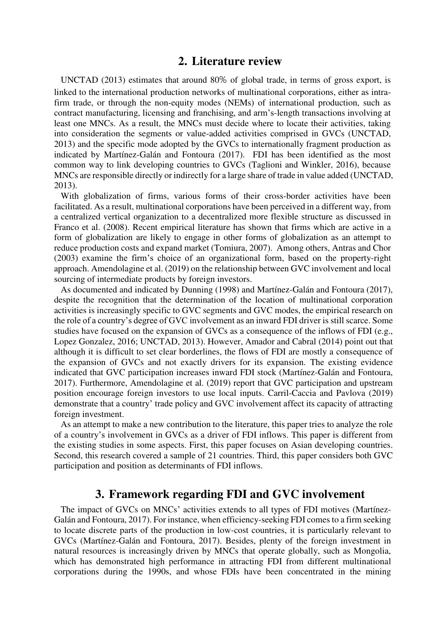#### **2. Literature review**

UNCTAD (2013) estimates that around 80% of global trade, in terms of gross export, is linked to the international production networks of multinational corporations, either as intrafirm trade, or through the non-equity modes (NEMs) of international production, such as contract manufacturing, licensing and franchising, and arm's-length transactions involving at least one MNCs. As a result, the MNCs must decide where to locate their activities, taking into consideration the segments or value-added activities comprised in GVCs (UNCTAD, 2013) and the specific mode adopted by the GVCs to internationally fragment production as indicated by Martínez-Galán and Fontoura (2017). FDI has been identified as the most common way to link developing countries to GVCs (Taglioni and Winkler, 2016), because MNCs are responsible directly or indirectly for a large share of trade in value added (UNCTAD, 2013).

With globalization of firms, various forms of their cross-border activities have been facilitated. As a result, multinational corporations have been perceived in a different way, from a centralized vertical organization to a decentralized more flexible structure as discussed in Franco et al. (2008). Recent empirical literature has shown that firms which are active in a form of globalization are likely to engage in other forms of globalization as an attempt to reduce production costs and expand market (Tomiura, 2007). Among others, Antras and Chor (2003) examine the firm's choice of an organizational form, based on the property-right approach. Amendolagine et al. (2019) on the relationship between GVC involvement and local sourcing of intermediate products by foreign investors.

As documented and indicated by Dunning (1998) and Martínez-Galán and Fontoura (2017), despite the recognition that the determination of the location of multinational corporation activities is increasingly specific to GVC segments and GVC modes, the empirical research on the role of a country's degree of GVC involvement as an inward FDI driver is still scarce. Some studies have focused on the expansion of GVCs as a consequence of the inflows of FDI (e.g., Lopez Gonzalez, 2016; UNCTAD, 2013). However, Amador and Cabral (2014) point out that although it is difficult to set clear borderlines, the flows of FDI are mostly a consequence of the expansion of GVCs and not exactly drivers for its expansion. The existing evidence indicated that GVC participation increases inward FDI stock (Martínez-Galán and Fontoura, 2017). Furthermore, Amendolagine et al. (2019) report that GVC participation and upstream position encourage foreign investors to use local inputs. Carril-Caccia and Pavlova (2019) demonstrate that a country' trade policy and GVC involvement affect its capacity of attracting foreign investment.

As an attempt to make a new contribution to the literature, this paper tries to analyze the role of a country's involvement in GVCs as a driver of FDI inflows. This paper is different from the existing studies in some aspects. First, this paper focuses on Asian developing countries. Second, this research covered a sample of 21 countries. Third, this paper considers both GVC participation and position as determinants of FDI inflows.

### **3. Framework regarding FDI and GVC involvement**

The impact of GVCs on MNCs' activities extends to all types of FDI motives (Martínez-Galán and Fontoura, 2017). For instance, when efficiency-seeking FDI comes to a firm seeking to locate discrete parts of the production in low-cost countries, it is particularly relevant to GVCs (Martínez-Galán and Fontoura, 2017). Besides, plenty of the foreign investment in natural resources is increasingly driven by MNCs that operate globally, such as Mongolia, which has demonstrated high performance in attracting FDI from different multinational corporations during the 1990s, and whose FDIs have been concentrated in the mining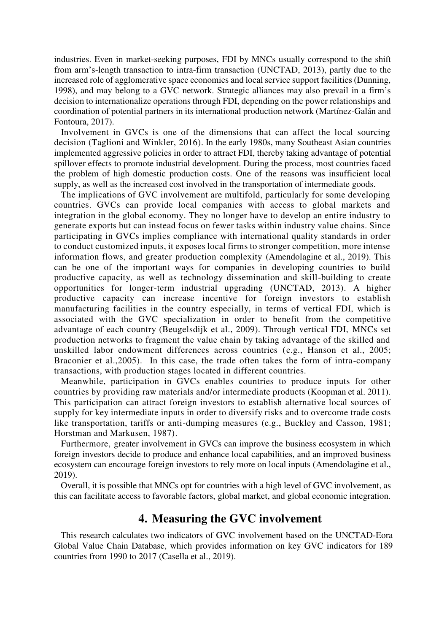industries. Even in market-seeking purposes, FDI by MNCs usually correspond to the shift from arm's-length transaction to intra-firm transaction (UNCTAD, 2013), partly due to the increased role of agglomerative space economies and local service support facilities (Dunning, 1998), and may belong to a GVC network. Strategic alliances may also prevail in a firm's decision to internationalize operations through FDI, depending on the power relationships and coordination of potential partners in its international production network (Martínez-Galán and Fontoura, 2017).

Involvement in GVCs is one of the dimensions that can affect the local sourcing decision (Taglioni and Winkler, 2016). In the early 1980s, many Southeast Asian countries implemented aggressive policies in order to attract FDI, thereby taking advantage of potential spillover effects to promote industrial development. During the process, most countries faced the problem of high domestic production costs. One of the reasons was insufficient local supply, as well as the increased cost involved in the transportation of intermediate goods.

The implications of GVC involvement are multifold, particularly for some developing countries. GVCs can provide local companies with access to global markets and integration in the global economy. They no longer have to develop an entire industry to generate exports but can instead focus on fewer tasks within industry value chains. Since participating in GVCs implies compliance with international quality standards in order to conduct customized inputs, it exposes local firms to stronger competition, more intense information flows, and greater production complexity (Amendolagine et al., 2019). This can be one of the important ways for companies in developing countries to build productive capacity, as well as technology dissemination and skill-building to create opportunities for longer-term industrial upgrading (UNCTAD, 2013). A higher productive capacity can increase incentive for foreign investors to establish manufacturing facilities in the country especially, in terms of vertical FDI, which is associated with the GVC specialization in order to benefit from the competitive advantage of each country (Beugelsdijk et al., 2009). Through vertical FDI, MNCs set production networks to fragment the value chain by taking advantage of the skilled and unskilled labor endowment differences across countries (e.g., Hanson et al., 2005; Braconier et al.,2005). In this case, the trade often takes the form of intra-company transactions, with production stages located in different countries.

Meanwhile, participation in GVCs enables countries to produce inputs for other countries by providing raw materials and/or intermediate products (Koopman et al. 2011). This participation can attract foreign investors to establish alternative local sources of supply for key intermediate inputs in order to diversify risks and to overcome trade costs like transportation, tariffs or anti-dumping measures (e.g., Buckley and Casson, 1981; Horstman and Markusen, 1987).

Furthermore, greater involvement in GVCs can improve the business ecosystem in which foreign investors decide to produce and enhance local capabilities, and an improved business ecosystem can encourage foreign investors to rely more on local inputs (Amendolagine et al., 2019).

Overall, it is possible that MNCs opt for countries with a high level of GVC involvement, as this can facilitate access to favorable factors, global market, and global economic integration.

### **4. Measuring the GVC involvement**

This research calculates two indicators of GVC involvement based on the UNCTAD-Eora Global Value Chain Database, which provides information on key GVC indicators for 189 countries from 1990 to 2017 (Casella et al., 2019).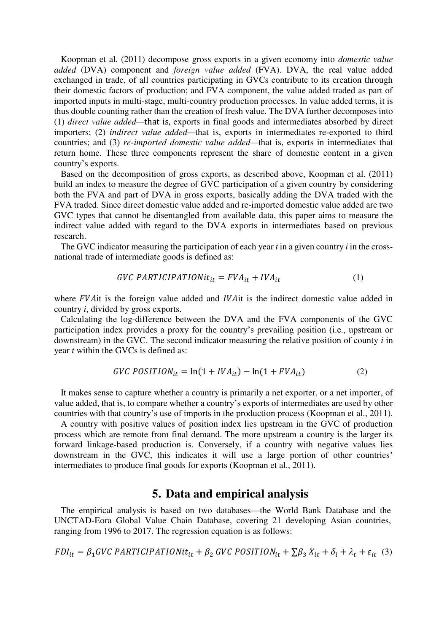Koopman et al. (2011) decompose gross exports in a given economy into *domestic value added* (DVA) component and *foreign value added* (FVA). DVA, the real value added exchanged in trade, of all countries participating in GVCs contribute to its creation through their domestic factors of production; and FVA component, the value added traded as part of imported inputs in multi-stage, multi-country production processes. In value added terms, it is thus double counting rather than the creation of fresh value. The DVA further decomposes into (1) *direct value added—*that is, exports in final goods and intermediates absorbed by direct importers; (2) *indirect value added—*that is, exports in intermediates re-exported to third countries; and (3) *re-imported domestic value added—*that is, exports in intermediates that return home. These three components represent the share of domestic content in a given country's exports.

Based on the decomposition of gross exports, as described above, Koopman et al. (2011) build an index to measure the degree of GVC participation of a given country by considering both the FVA and part of DVA in gross exports, basically adding the DVA traded with the FVA traded. Since direct domestic value added and re-imported domestic value added are two GVC types that cannot be disentangled from available data, this paper aims to measure the indirect value added with regard to the DVA exports in intermediates based on previous research.

The GVC indicator measuring the participation of each year *t* in a given country *i* in the crossnational trade of intermediate goods is defined as:

$$
GVC\ PARTICIPATIONit_{it} = FVA_{it} + IVA_{it}
$$
 (1)

where FVA it is the foreign value added and *IVA* it is the indirect domestic value added in country *i*, divided by gross exports.

Calculating the log-difference between the DVA and the FVA components of the GVC participation index provides a proxy for the country's prevailing position (i.e., upstream or downstream) in the GVC. The second indicator measuring the relative position of county *i* in year *t* within the GVCs is defined as:

$$
GVC\ POSITION_{it} = \ln(1 + IVA_{it}) - \ln(1 + FVA_{it})
$$
\n(2)

It makes sense to capture whether a country is primarily a net exporter, or a net importer, of value added, that is, to compare whether a country's exports of intermediates are used by other countries with that country's use of imports in the production process (Koopman et al., 2011).

A country with positive values of position index lies upstream in the GVC of production process which are remote from final demand. The more upstream a country is the larger its forward linkage-based production is. Conversely, if a country with negative values lies downstream in the GVC, this indicates it will use a large portion of other countries' intermediates to produce final goods for exports (Koopman et al., 2011).

### **5. Data and empirical analysis**

The empirical analysis is based on two databases—the World Bank Database and the UNCTAD-Eora Global Value Chain Database, covering 21 developing Asian countries, ranging from 1996 to 2017. The regression equation is as follows:

$$
FDI_{it} = \beta_1 GVC \; PARTICIPATIONit_{it} + \beta_2 \; GVC \; POSITION_{it} + \sum \beta_3 \; X_{it} + \delta_i + \lambda_t + \varepsilon_{it} \quad (3)
$$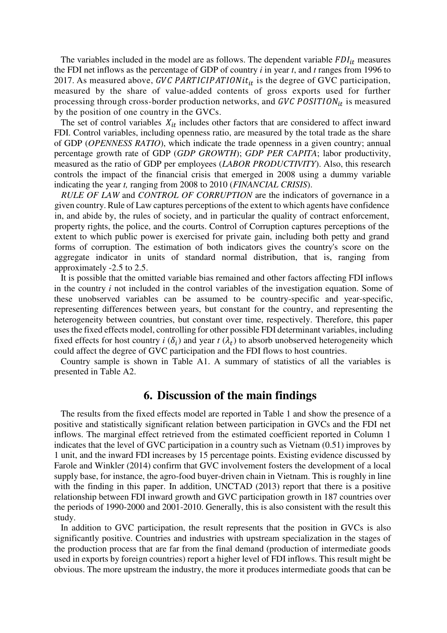The variables included in the model are as follows. The dependent variable  $FDI_{it}$  measures the FDI net inflows as the percentage of GDP of country *i* in year *t*, and *t* ranges from 1996 to 2017. As measured above, GVC PARTICIPATIONit<sub>it</sub> is the degree of GVC participation, measured by the share of value-added contents of gross exports used for further processing through cross-border production networks, and  $GVC$  POSITION<sub>it</sub> is measured by the position of one country in the GVCs.

The set of control variables  $X_{it}$  includes other factors that are considered to affect inward FDI. Control variables, including openness ratio, are measured by the total trade as the share of GDP (*OPENNESS RATIO*), which indicate the trade openness in a given country; annual percentage growth rate of GDP (*GDP GROWTH*); *GDP PER CAPITA*; labor productivity, measured as the ratio of GDP per employees (*LABOR PRODUCTIVITY*). Also, this research controls the impact of the financial crisis that emerged in 2008 using a dummy variable indicating the year *t,* ranging from 2008 to 2010 (*FINANCIAL CRISIS*).

*RULE OF LAW* and *CONTROL OF CORRUPTION* are the indicators of governance in a given country. Rule of Law captures perceptions of the extent to which agents have confidence in, and abide by, the rules of society, and in particular the quality of contract enforcement, property rights, the police, and the courts. Control of Corruption captures perceptions of the extent to which public power is exercised for private gain, including both petty and grand forms of corruption. The estimation of both indicators gives the country's score on the aggregate indicator in units of standard normal distribution, that is, ranging from approximately -2.5 to 2.5.

It is possible that the omitted variable bias remained and other factors affecting FDI inflows in the country *i* not included in the control variables of the investigation equation. Some of these unobserved variables can be assumed to be country-specific and year-specific, representing differences between years, but constant for the country, and representing the heterogeneity between countries, but constant over time, respectively. Therefore, this paper uses the fixed effects model, controlling for other possible FDI determinant variables, including fixed effects for host country  $i(\delta_i)$  and year  $t(\lambda_t)$  to absorb unobserved heterogeneity which could affect the degree of GVC participation and the FDI flows to host countries.

Country sample is shown in Table A1. A summary of statistics of all the variables is presented in Table A2.

### **6. Discussion of the main findings**

The results from the fixed effects model are reported in Table 1 and show the presence of a positive and statistically significant relation between participation in GVCs and the FDI net inflows. The marginal effect retrieved from the estimated coefficient reported in Column 1 indicates that the level of GVC participation in a country such as Vietnam (0.51) improves by 1 unit, and the inward FDI increases by 15 percentage points. Existing evidence discussed by Farole and Winkler (2014) confirm that GVC involvement fosters the development of a local supply base, for instance, the agro-food buyer-driven chain in Vietnam. This is roughly in line with the finding in this paper. In addition, UNCTAD (2013) report that there is a positive relationship between FDI inward growth and GVC participation growth in 187 countries over the periods of 1990-2000 and 2001-2010. Generally, this is also consistent with the result this study.

In addition to GVC participation, the result represents that the position in GVCs is also significantly positive. Countries and industries with upstream specialization in the stages of the production process that are far from the final demand (production of intermediate goods used in exports by foreign countries) report a higher level of FDI inflows. This result might be obvious. The more upstream the industry, the more it produces intermediate goods that can be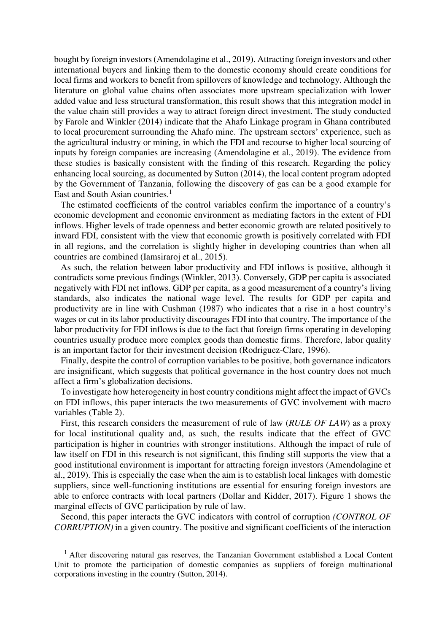bought by foreign investors (Amendolagine et al., 2019). Attracting foreign investors and other international buyers and linking them to the domestic economy should create conditions for local firms and workers to benefit from spillovers of knowledge and technology. Although the literature on global value chains often associates more upstream specialization with lower added value and less structural transformation, this result shows that this integration model in the value chain still provides a way to attract foreign direct investment. The study conducted by Farole and Winkler (2014) indicate that the Ahafo Linkage program in Ghana contributed to local procurement surrounding the Ahafo mine. The upstream sectors' experience, such as the agricultural industry or mining, in which the FDI and recourse to higher local sourcing of inputs by foreign companies are increasing (Amendolagine et al., 2019). The evidence from these studies is basically consistent with the finding of this research. Regarding the policy enhancing local sourcing, as documented by Sutton (2014), the local content program adopted by the Government of Tanzania, following the discovery of gas can be a good example for East and South Asian countries.<sup>1</sup>

The estimated coefficients of the control variables confirm the importance of a country's economic development and economic environment as mediating factors in the extent of FDI inflows. Higher levels of trade openness and better economic growth are related positively to inward FDI, consistent with the view that economic growth is positively correlated with FDI in all regions, and the correlation is slightly higher in developing countries than when all countries are combined (Iamsiraroj et al., 2015).

As such, the relation between labor productivity and FDI inflows is positive, although it contradicts some previous findings (Winkler, 2013). Conversely, GDP per capita is associated negatively with FDI net inflows. GDP per capita, as a good measurement of a country's living standards, also indicates the national wage level. The results for GDP per capita and productivity are in line with Cushman (1987) who indicates that a rise in a host country's wages or cut in its labor productivity discourages FDI into that country. The importance of the labor productivity for FDI inflows is due to the fact that foreign firms operating in developing countries usually produce more complex goods than domestic firms. Therefore, labor quality is an important factor for their investment decision (Rodriguez-Clare, 1996).

Finally, despite the control of corruption variables to be positive, both governance indicators are insignificant, which suggests that political governance in the host country does not much affect a firm's globalization decisions.

To investigate how heterogeneity in host country conditions might affect the impact of GVCs on FDI inflows, this paper interacts the two measurements of GVC involvement with macro variables (Table 2).

First, this research considers the measurement of rule of law (*RULE OF LAW*) as a proxy for local institutional quality and, as such, the results indicate that the effect of GVC participation is higher in countries with stronger institutions. Although the impact of rule of law itself on FDI in this research is not significant, this finding still supports the view that a good institutional environment is important for attracting foreign investors (Amendolagine et al., 2019). This is especially the case when the aim is to establish local linkages with domestic suppliers, since well-functioning institutions are essential for ensuring foreign investors are able to enforce contracts with local partners (Dollar and Kidder, 2017). Figure 1 shows the marginal effects of GVC participation by rule of law.

Second, this paper interacts the GVC indicators with control of corruption *(CONTROL OF CORRUPTION)* in a given country. The positive and significant coefficients of the interaction

 $\overline{a}$ 

<sup>&</sup>lt;sup>1</sup> After discovering natural gas reserves, the Tanzanian Government established a Local Content Unit to promote the participation of domestic companies as suppliers of foreign multinational corporations investing in the country (Sutton, 2014).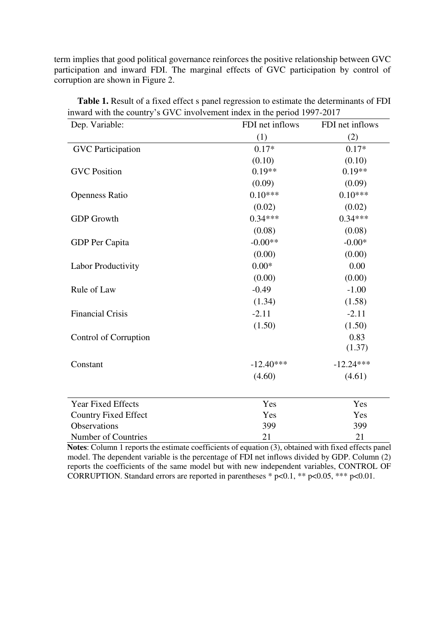term implies that good political governance reinforces the positive relationship between GVC participation and inward FDI. The marginal effects of GVC participation by control of corruption are shown in Figure 2.

| Dep. Variable:              | FDI net inflows | FDI net inflows |  |  |
|-----------------------------|-----------------|-----------------|--|--|
|                             | (1)             | (2)             |  |  |
| <b>GVC</b> Participation    | $0.17*$         | $0.17*$         |  |  |
|                             | (0.10)          | (0.10)          |  |  |
| <b>GVC</b> Position         | $0.19**$        | $0.19**$        |  |  |
|                             | (0.09)          | (0.09)          |  |  |
| <b>Openness Ratio</b>       | $0.10***$       | $0.10***$       |  |  |
|                             | (0.02)          | (0.02)          |  |  |
| <b>GDP</b> Growth           | $0.34***$       | $0.34***$       |  |  |
|                             | (0.08)          | (0.08)          |  |  |
| GDP Per Capita              | $-0.00**$       | $-0.00*$        |  |  |
|                             | (0.00)          | (0.00)          |  |  |
| <b>Labor Productivity</b>   | $0.00*$         | 0.00            |  |  |
|                             | (0.00)          | (0.00)          |  |  |
| Rule of Law                 | $-0.49$         | $-1.00$         |  |  |
|                             | (1.34)          | (1.58)          |  |  |
| <b>Financial Crisis</b>     | $-2.11$         | $-2.11$         |  |  |
|                             | (1.50)          | (1.50)          |  |  |
| Control of Corruption       |                 | 0.83            |  |  |
|                             |                 | (1.37)          |  |  |
| Constant                    | $-12.40***$     | $-12.24***$     |  |  |
|                             | (4.60)          | (4.61)          |  |  |
| Year Fixed Effects          | Yes             | Yes             |  |  |
| <b>Country Fixed Effect</b> | Yes             | Yes             |  |  |
| Observations                | 399             | 399             |  |  |

**Table 1.** Result of a fixed effect s panel regression to estimate the determinants of FDI inward with the country's GVC involvement index in the period 1997-2017

**Notes**: Column 1 reports the estimate coefficients of equation (3), obtained with fixed effects panel model. The dependent variable is the percentage of FDI net inflows divided by GDP. Column (2) reports the coefficients of the same model but with new independent variables, CONTROL OF CORRUPTION. Standard errors are reported in parentheses  $* p<0.1$ ,  $** p<0.05$ ,  $*** p<0.01$ .

Number of Countries 21 21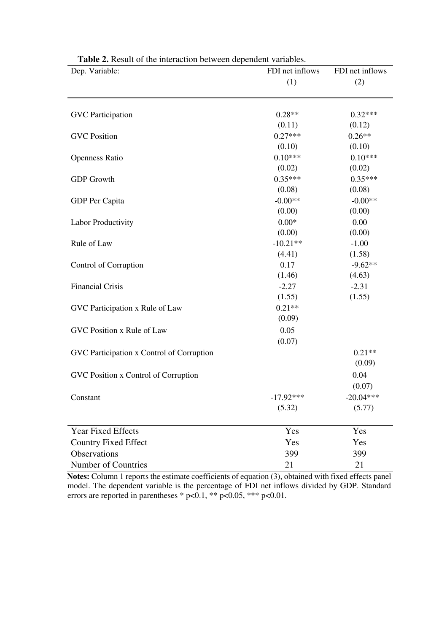| Dep. Variable:                            | FDI net inflows | FDI net inflows |  |
|-------------------------------------------|-----------------|-----------------|--|
|                                           | (1)             | (2)             |  |
|                                           |                 |                 |  |
| <b>GVC</b> Participation                  | $0.28**$        | $0.32***$       |  |
|                                           | (0.11)          | (0.12)          |  |
| <b>GVC</b> Position                       | $0.27***$       | $0.26**$        |  |
|                                           | (0.10)          | (0.10)          |  |
| <b>Openness Ratio</b>                     | $0.10***$       | $0.10***$       |  |
|                                           | (0.02)          | (0.02)          |  |
| <b>GDP</b> Growth                         | $0.35***$       | $0.35***$       |  |
|                                           | (0.08)          | (0.08)          |  |
| GDP Per Capita                            | $-0.00**$       | $-0.00**$       |  |
|                                           | (0.00)          | (0.00)          |  |
| Labor Productivity                        | $0.00*$         | 0.00            |  |
|                                           | (0.00)          | (0.00)          |  |
| Rule of Law                               | $-10.21**$      | $-1.00$         |  |
|                                           | (4.41)          | (1.58)          |  |
| Control of Corruption                     | 0.17            | $-9.62**$       |  |
|                                           | (1.46)          | (4.63)          |  |
| <b>Financial Crisis</b>                   | $-2.27$         | $-2.31$         |  |
|                                           | (1.55)          | (1.55)          |  |
| GVC Participation x Rule of Law           | $0.21**$        |                 |  |
|                                           | (0.09)          |                 |  |
| GVC Position x Rule of Law                | 0.05            |                 |  |
|                                           | (0.07)          |                 |  |
| GVC Participation x Control of Corruption |                 | $0.21**$        |  |
|                                           |                 | (0.09)          |  |
| GVC Position x Control of Corruption      |                 | 0.04            |  |
|                                           |                 | (0.07)          |  |
| Constant                                  | $-17.92***$     | $-20.04***$     |  |
|                                           | (5.32)          | (5.77)          |  |
|                                           |                 |                 |  |
| <b>Year Fixed Effects</b>                 | Yes             | Yes             |  |
| <b>Country Fixed Effect</b>               | Yes             | Yes             |  |
| Observations                              | 399             | 399             |  |
| Number of Countries                       | 21              | 21              |  |

| <b>Table 2.</b> Result of the interaction between dependent variables. |  |
|------------------------------------------------------------------------|--|
|------------------------------------------------------------------------|--|

**Notes:** Column 1 reports the estimate coefficients of equation (3), obtained with fixed effects panel model. The dependent variable is the percentage of FDI net inflows divided by GDP. Standard errors are reported in parentheses \* p<0.1, \*\* p<0.05, \*\*\* p<0.01.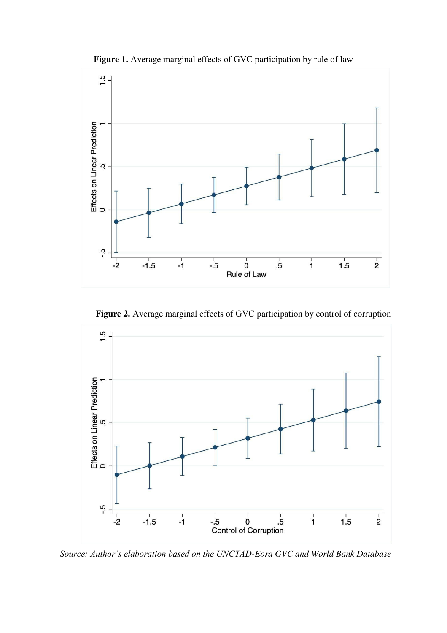



**Figure 2.** Average marginal effects of GVC participation by control of corruption



*Source: Author's elaboration based on the UNCTAD-Eora GVC and World Bank Database*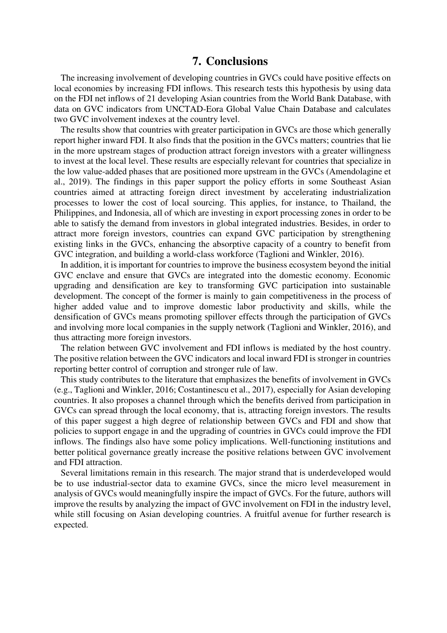#### **7. Conclusions**

The increasing involvement of developing countries in GVCs could have positive effects on local economies by increasing FDI inflows. This research tests this hypothesis by using data on the FDI net inflows of 21 developing Asian countries from the World Bank Database, with data on GVC indicators from UNCTAD-Eora Global Value Chain Database and calculates two GVC involvement indexes at the country level.

The results show that countries with greater participation in GVCs are those which generally report higher inward FDI. It also finds that the position in the GVCs matters; countries that lie in the more upstream stages of production attract foreign investors with a greater willingness to invest at the local level. These results are especially relevant for countries that specialize in the low value-added phases that are positioned more upstream in the GVCs (Amendolagine et al., 2019). The findings in this paper support the policy efforts in some Southeast Asian countries aimed at attracting foreign direct investment by accelerating industrialization processes to lower the cost of local sourcing. This applies, for instance, to Thailand, the Philippines, and Indonesia, all of which are investing in export processing zones in order to be able to satisfy the demand from investors in global integrated industries. Besides, in order to attract more foreign investors, countries can expand GVC participation by strengthening existing links in the GVCs, enhancing the absorptive capacity of a country to benefit from GVC integration, and building a world-class workforce (Taglioni and Winkler, 2016).

In addition, it is important for countries to improve the business ecosystem beyond the initial GVC enclave and ensure that GVCs are integrated into the domestic economy. Economic upgrading and densification are key to transforming GVC participation into sustainable development. The concept of the former is mainly to gain competitiveness in the process of higher added value and to improve domestic labor productivity and skills, while the densification of GVCs means promoting spillover effects through the participation of GVCs and involving more local companies in the supply network (Taglioni and Winkler, 2016), and thus attracting more foreign investors.

The relation between GVC involvement and FDI inflows is mediated by the host country. The positive relation between the GVC indicators and local inward FDI is stronger in countries reporting better control of corruption and stronger rule of law.

This study contributes to the literature that emphasizes the benefits of involvement in GVCs (e.g., Taglioni and Winkler, 2016; Costantinescu et al., 2017), especially for Asian developing countries. It also proposes a channel through which the benefits derived from participation in GVCs can spread through the local economy, that is, attracting foreign investors. The results of this paper suggest a high degree of relationship between GVCs and FDI and show that policies to support engage in and the upgrading of countries in GVCs could improve the FDI inflows. The findings also have some policy implications. Well-functioning institutions and better political governance greatly increase the positive relations between GVC involvement and FDI attraction.

Several limitations remain in this research. The major strand that is underdeveloped would be to use industrial-sector data to examine GVCs, since the micro level measurement in analysis of GVCs would meaningfully inspire the impact of GVCs. For the future, authors will improve the results by analyzing the impact of GVC involvement on FDI in the industry level, while still focusing on Asian developing countries. A fruitful avenue for further research is expected.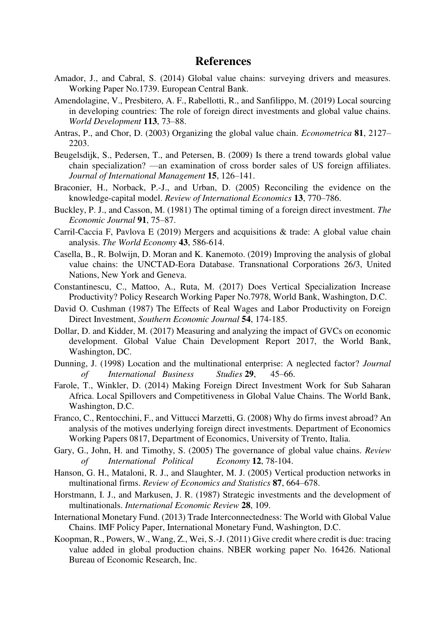#### **References**

- Amador, J., and Cabral, S. (2014) Global value chains: surveying drivers and measures. Working Paper No.1739. European Central Bank.
- Amendolagine, V., Presbitero, A. F., Rabellotti, R., and Sanfilippo, M. (2019) Local sourcing in developing countries: The role of foreign direct investments and global value chains. *World Development* **113**, 73–88.
- Antras, P., and Chor, D. (2003) Organizing the global value chain. *Econometrica* **81**, 2127– 2203.
- Beugelsdijk, S., Pedersen, T., and Petersen, B. (2009) Is there a trend towards global value chain specialization? —an examination of cross border sales of US foreign affiliates. *Journal of International Management* **15**, 126–141.
- Braconier, H., Norback, P.-J., and Urban, D. (2005) Reconciling the evidence on the knowledge-capital model. *Review of International Economics* **13**, 770–786.
- Buckley, P. J., and Casson, M. (1981) The optimal timing of a foreign direct investment. *The Economic Journal* **91**, 75–87.
- Carril-Caccia F, Pavlova E (2019) Mergers and acquisitions & trade: A global value chain analysis. *The World Economy* **43**, 586-614.
- Casella, B., R. Bolwijn, D. Moran and K. Kanemoto. (2019) Improving the analysis of global value chains: the UNCTAD-Eora Database. Transnational Corporations 26/3, United Nations, New York and Geneva.
- Constantinescu, C., Mattoo, A., Ruta, M. (2017) Does Vertical Specialization Increase Productivity? Policy Research Working Paper No.7978, World Bank, Washington, D.C.
- David O. Cushman (1987) The Effects of Real Wages and Labor Productivity on Foreign Direct Investment, *Southern Economic Journal* **54**, 174-185.
- Dollar, D. and Kidder, M. (2017) Measuring and analyzing the impact of GVCs on economic development. Global Value Chain Development Report 2017, the World Bank, Washington, DC.
- Dunning, J. (1998) Location and the multinational enterprise: A neglected factor? *Journal of International Business Studies* **29**, 45–66.
- Farole, T., Winkler, D. (2014) Making Foreign Direct Investment Work for Sub Saharan Africa. Local Spillovers and Competitiveness in Global Value Chains. The World Bank, Washington, D.C.
- Franco, C., Rentocchini, F., and Vittucci Marzetti, G. (2008) Why do firms invest abroad? An analysis of the motives underlying foreign direct investments. Department of Economics Working Papers 0817, Department of Economics, University of Trento, Italia.
- Gary, G., John, H. and Timothy, S. (2005) The governance of global value chains. *Review of International Political Economy* **12**, 78-104.
- Hanson, G. H., Mataloni, R. J., and Slaughter, M. J. (2005) Vertical production networks in multinational firms. *Review of Economics and Statistics* **87**, 664–678.
- Horstmann, I. J., and Markusen, J. R. (1987) Strategic investments and the development of multinationals. *International Economic Review* **28**, 109.
- International Monetary Fund. (2013) Trade Interconnectedness: The World with Global Value Chains. IMF Policy Paper, International Monetary Fund, Washington, D.C.
- Koopman, R., Powers, W., Wang, Z., Wei, S.-J. (2011) Give credit where credit is due: tracing value added in global production chains. NBER working paper No. 16426. National Bureau of Economic Research, Inc.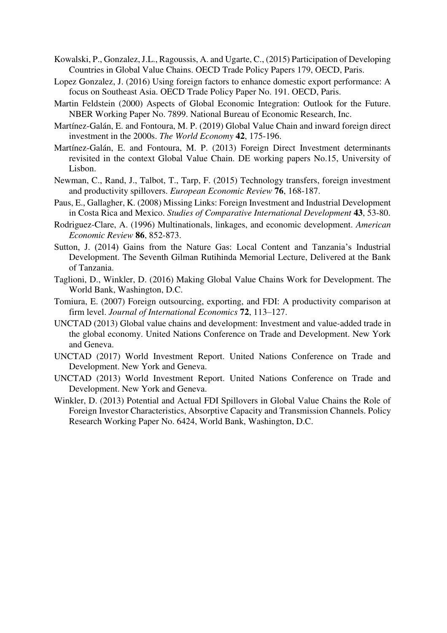- Kowalski, P., Gonzalez, J.L., Ragoussis, A. and Ugarte, C., (2015) Participation of Developing Countries in Global Value Chains. OECD Trade Policy Papers 179, OECD, Paris.
- Lopez Gonzalez, J. (2016) Using foreign factors to enhance domestic export performance: A focus on Southeast Asia. OECD Trade Policy Paper No. 191. OECD, Paris.
- Martin Feldstein (2000) Aspects of Global Economic Integration: Outlook for the Future. NBER Working Paper No. 7899. National Bureau of Economic Research, Inc.
- Martínez-Galán, E. and Fontoura, M. P. (2019) Global Value Chain and inward foreign direct investment in the 2000s. *The World Economy* **42**, 175-196.
- Martínez-Galán, E. and Fontoura, M. P. (2013) Foreign Direct Investment determinants revisited in the context Global Value Chain. DE working papers No.15, University of Lisbon.
- Newman, C., Rand, J., Talbot, T., Tarp, F. (2015) Technology transfers, foreign investment and productivity spillovers. *European Economic Review* **76**, 168-187.
- Paus, E., Gallagher, K. (2008) Missing Links: Foreign Investment and Industrial Development in Costa Rica and Mexico. *Studies of Comparative International Development* **43**, 53-80.
- Rodriguez-Clare, A. (1996) Multinationals, linkages, and economic development. *American Economic Review* **86**, 852-873.
- Sutton, J. (2014) Gains from the Nature Gas: Local Content and Tanzania's Industrial Development. The Seventh Gilman Rutihinda Memorial Lecture, Delivered at the Bank of Tanzania.
- Taglioni, D., Winkler, D. (2016) Making Global Value Chains Work for Development. The World Bank, Washington, D.C.
- Tomiura, E. (2007) Foreign outsourcing, exporting, and FDI: A productivity comparison at firm level. *Journal of International Economics* **72**, 113–127.
- UNCTAD (2013) Global value chains and development: Investment and value-added trade in the global economy. United Nations Conference on Trade and Development. New York and Geneva.
- UNCTAD (2017) World Investment Report. United Nations Conference on Trade and Development. New York and Geneva.
- UNCTAD (2013) World Investment Report. United Nations Conference on Trade and Development. New York and Geneva.
- Winkler, D. (2013) Potential and Actual FDI Spillovers in Global Value Chains the Role of Foreign Investor Characteristics, Absorptive Capacity and Transmission Channels. Policy Research Working Paper No. 6424, World Bank, Washington, D.C.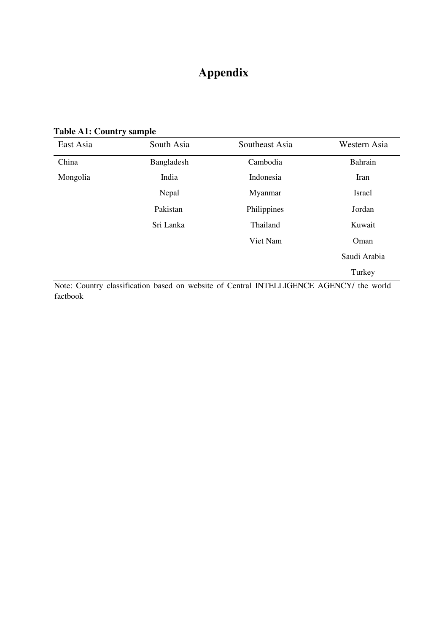# **Appendix**

**Table A1: Country sample** 

| East Asia | South Asia | Southeast Asia | Western Asia<br><b>Bahrain</b> |  |
|-----------|------------|----------------|--------------------------------|--|
| China     | Bangladesh | Cambodia       |                                |  |
| Mongolia  | India      | Indonesia      | Iran                           |  |
|           | Nepal      | Myanmar        | Israel                         |  |
|           | Pakistan   | Philippines    | Jordan                         |  |
|           | Sri Lanka  | Thailand       | Kuwait                         |  |
|           |            | Viet Nam       | Oman                           |  |
|           |            |                | Saudi Arabia                   |  |
|           |            |                | Turkey                         |  |

Note: Country classification based on website of Central INTELLIGENCE AGENCY/ the world factbook